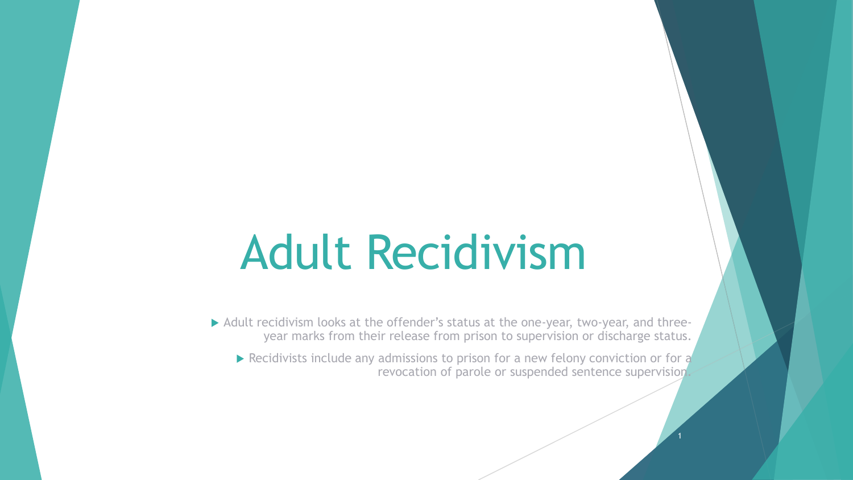## Adult Recidivism

Adult recidivism looks at the offender's status at the one-year, two-year, and threeyear marks from their release from prison to supervision or discharge status.

Recidivists include any admissions to prison for a new felony conviction or for  $\alpha$ revocation of parole or suspended sentence supervision.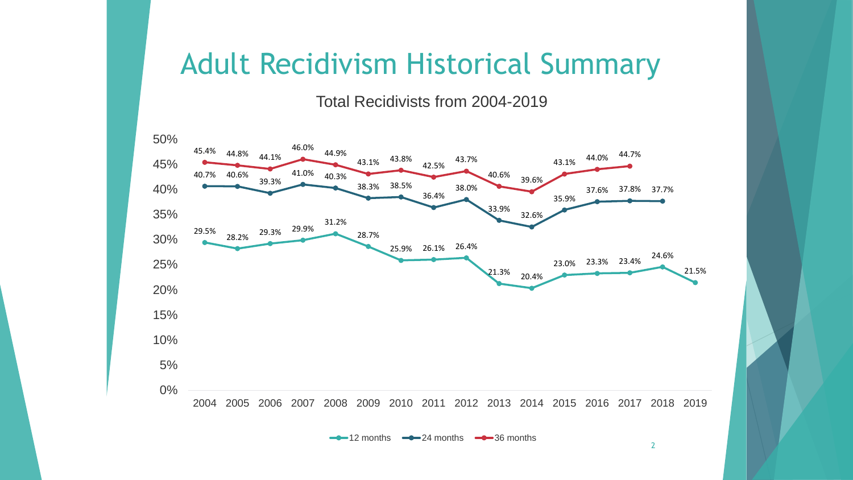## Adult Recidivism Historical Summary

Total Recidivists from 2004-2019



 $\leftarrow$  12 months  $\leftarrow$  24 months  $\leftarrow$  36 months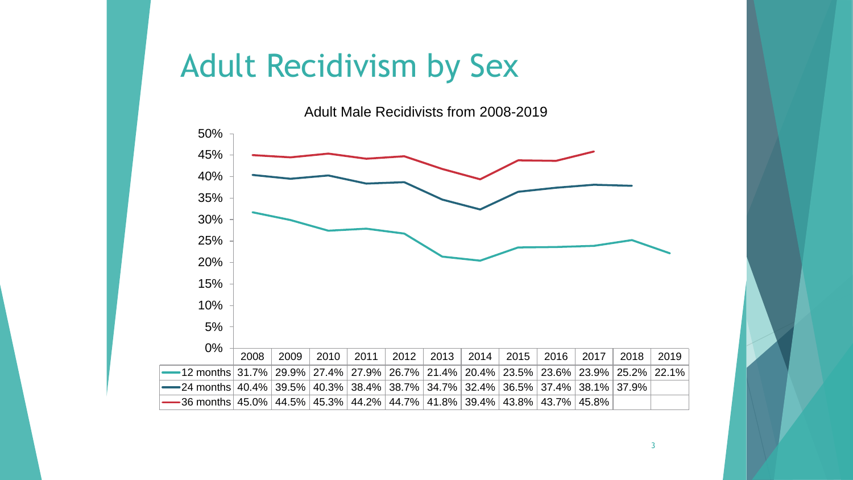## Adult Recidivism by Sex

Adult Male Recidivists from 2008-2019



3